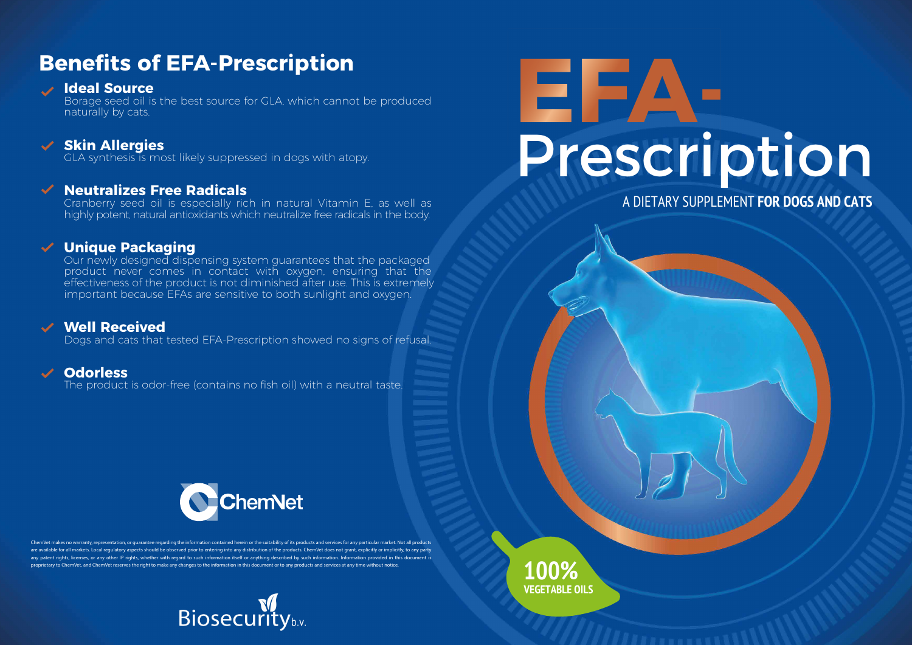# **Benefits of EFA-Prescription**

### **Ideal Source**

Borage seed oil is the best source for GLA, which cannot be produced naturally by cats.

### **Skin Allergies**

GLA synthesis is most likely suppressed in dogs with atopy.

### **Neutralizes Free Radicals**

Cranberry seed oil is especially rich in natural Vitamin E, as well as highly potent, natural antioxidants which neutralize free radicals in the body.

### **Unique Packaging**

Our newly designed dispensing system guarantees that the packaged product never comes in contact with oxygen, ensuring that the effectiveness of the product is not diminished after use. This is extremely important because EFAs are sensitive to both sunlight and oxygen.

### **Well Received**

Dogs and cats that tested EFA-Prescription showed no signs of refusal.

### **Odorless**

The product is odor-free (contains no fish oil) with a neutral taste.



akes no warranty, representation, or quarantee regarding the information contained herein or the suitability of its products and services for any particular market. Not all products ble for all markets. Local regulatory aspects should be observed prior to entering into any distribution of the products. ChemVet does not grant, explicitly or implicitly, to any party any patent rights, licenses, or any other IP rights, whether with regard to such information itself or anything described by such information. Information provided in this document is proprietary to ChemVet, and ChemVet reserves the right to make any changes to the information in this document or to any products and services at any time without notice.



# **EFA**<br>Prescription

A DIETARY SUPPLEMENT **FOR DOGS AND CATS**

**100% VEGETABLE OILS**